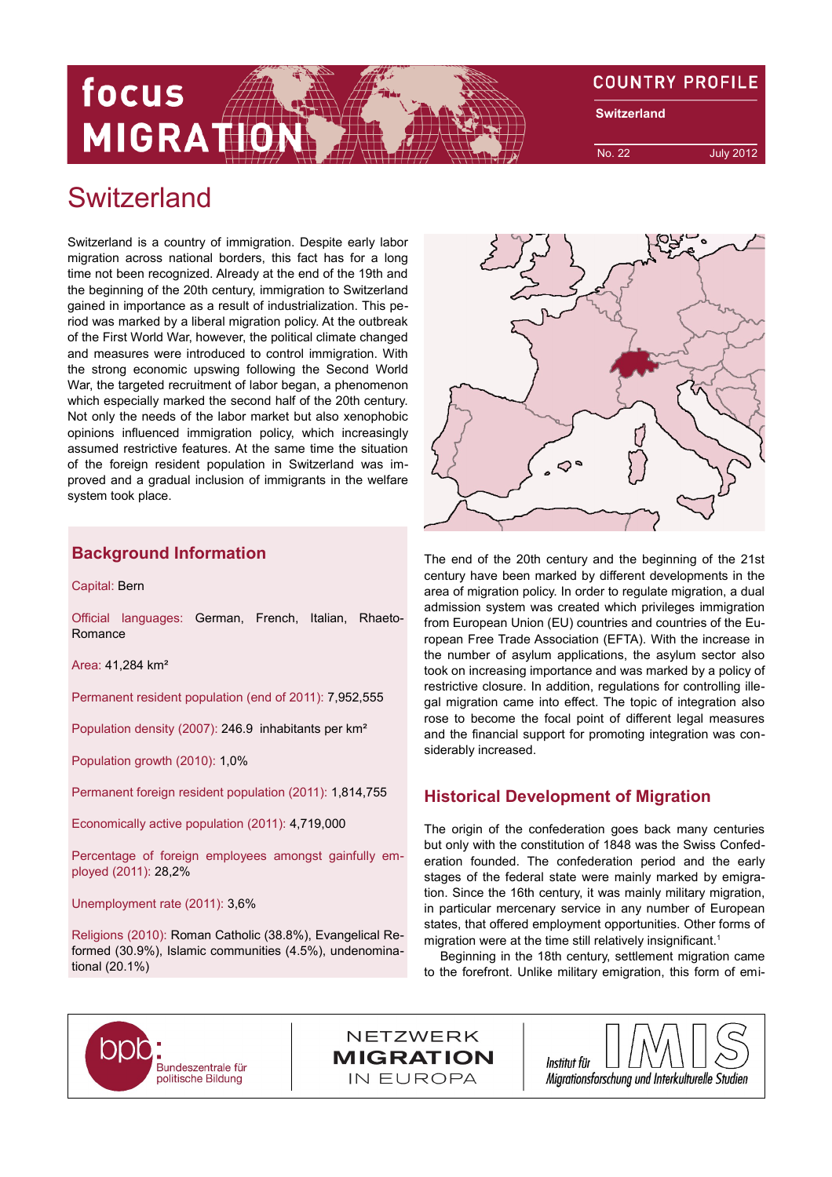# focus MIGRATIO

**COUNTRY PROFILE Switzerland**

No. 22 July 2012

## **Switzerland**

Switzerland is a country of immigration. Despite early labor migration across national borders, this fact has for a long time not been recognized. Already at the end of the 19th and the beginning of the 20th century, immigration to Switzerland gained in importance as a result of industrialization. This period was marked by a liberal migration policy. At the outbreak of the First World War, however, the political climate changed and measures were introduced to control immigration. With the strong economic upswing following the Second World War, the targeted recruitment of labor began, a phenomenon which especially marked the second half of the 20th century. Not only the needs of the labor market but also xenophobic opinions influenced immigration policy, which increasingly assumed restrictive features. At the same time the situation of the foreign resident population in Switzerland was improved and a gradual inclusion of immigrants in the welfare system took place.

## **Background Information**

Capital: Bern

Official languages: German, French, Italian, Rhaeto-Romance

Area: 41,284 km²

Permanent resident population (end of 2011): 7,952,555

Population density (2007): 246.9 inhabitants per km²

Population growth (2010): 1,0%

Permanent foreign resident population (2011): 1,814,755

Economically active population (2011): 4,719,000

Percentage of foreign employees amongst gainfully employed (2011): 28,2%

Unemployment rate (2011): 3,6%

Religions (2010): Roman Catholic (38.8%), Evangelical Reformed (30.9%), Islamic communities (4.5%), undenominational (20.1%)



The end of the 20th century and the beginning of the 21st century have been marked by different developments in the area of migration policy. In order to regulate migration, a dual admission system was created which privileges immigration from European Union (EU) countries and countries of the European Free Trade Association (EFTA). With the increase in the number of asylum applications, the asylum sector also took on increasing importance and was marked by a policy of restrictive closure. In addition, regulations for controlling illegal migration came into effect. The topic of integration also rose to become the focal point of different legal measures and the financial support for promoting integration was considerably increased.

## **Historical Development of Migration**

The origin of the confederation goes back many centuries but only with the constitution of 1848 was the Swiss Confederation founded. The confederation period and the early stages of the federal state were mainly marked by emigration. Since the 16th century, it was mainly military migration, in particular mercenary service in any number of European states, that offered employment opportunities. Other forms of migration were at the time still relatively insignificant.<sup>1</sup>

Beginning in the 18th century, settlement migration came to the forefront. Unlike military emigration, this form of emi-



NETZWERK **MIGRATION** IN EUROPA

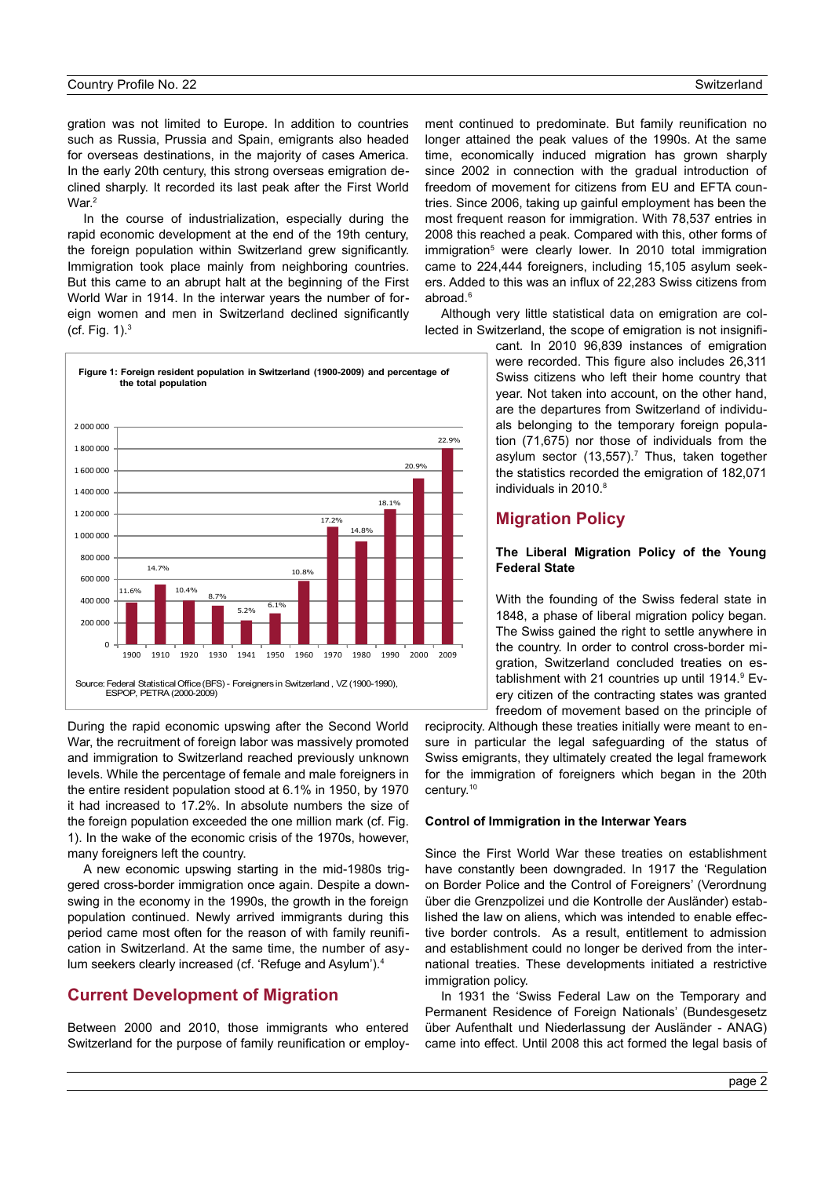gration was not limited to Europe. In addition to countries such as Russia, Prussia and Spain, emigrants also headed for overseas destinations, in the majority of cases America. In the early 20th century, this strong overseas emigration declined sharply. It recorded its last peak after the First World War.<sup>2</sup>

In the course of industrialization, especially during the rapid economic development at the end of the 19th century, the foreign population within Switzerland grew significantly. Immigration took place mainly from neighboring countries. But this came to an abrupt halt at the beginning of the First World War in 1914. In the interwar years the number of foreign women and men in Switzerland declined significantly (cf. Fig.  $1$ ). $3$ 



During the rapid economic upswing after the Second World War, the recruitment of foreign labor was massively promoted and immigration to Switzerland reached previously unknown levels. While the percentage of female and male foreigners in the entire resident population stood at 6.1% in 1950, by 1970 it had increased to 17.2%. In absolute numbers the size of the foreign population exceeded the one million mark (cf. Fig. 1). In the wake of the economic crisis of the 1970s, however, many foreigners left the country.

A new economic upswing starting in the mid-1980s triggered cross-border immigration once again. Despite a downswing in the economy in the 1990s, the growth in the foreign population continued. Newly arrived immigrants during this period came most often for the reason of with family reunification in Switzerland. At the same time, the number of asylum seekers clearly increased (cf. 'Refuge and Asylum').<sup>4</sup>

## **Current Development of Migration**

Between 2000 and 2010, those immigrants who entered Switzerland for the purpose of family reunification or employment continued to predominate. But family reunification no longer attained the peak values of the 1990s. At the same time, economically induced migration has grown sharply since 2002 in connection with the gradual introduction of freedom of movement for citizens from EU and EFTA countries. Since 2006, taking up gainful employment has been the most frequent reason for immigration. With 78,537 entries in 2008 this reached a peak. Compared with this, other forms of immigration<sup>5</sup> were clearly lower. In 2010 total immigration came to 224,444 foreigners, including 15,105 asylum seekers. Added to this was an influx of 22,283 Swiss citizens from abroad.<sup>6</sup>

Although very little statistical data on emigration are collected in Switzerland, the scope of emigration is not insignifi-

> cant. In 2010 96,839 instances of emigration were recorded. This figure also includes 26,311 Swiss citizens who left their home country that year. Not taken into account, on the other hand, are the departures from Switzerland of individuals belonging to the temporary foreign population (71,675) nor those of individuals from the asylum sector  $(13,557)$ .<sup>7</sup> Thus, taken together the statistics recorded the emigration of 182,071 individuals in 2010.<sup>8</sup>

## **Migration Policy**

#### **The Liberal Migration Policy of the Young Federal State**

With the founding of the Swiss federal state in 1848, a phase of liberal migration policy began. The Swiss gained the right to settle anywhere in the country. In order to control cross-border migration, Switzerland concluded treaties on establishment with 21 countries up until 1914. $9$  Every citizen of the contracting states was granted freedom of movement based on the principle of

reciprocity. Although these treaties initially were meant to ensure in particular the legal safeguarding of the status of Swiss emigrants, they ultimately created the legal framework for the immigration of foreigners which began in the 20th century.<sup>10</sup>

#### **Control of Immigration in the Interwar Years**

Since the First World War these treaties on establishment have constantly been downgraded. In 1917 the 'Regulation on Border Police and the Control of Foreigners' (Verordnung über die Grenzpolizei und die Kontrolle der Ausländer) established the law on aliens, which was intended to enable effective border controls. As a result, entitlement to admission and establishment could no longer be derived from the international treaties. These developments initiated a restrictive immigration policy.

In 1931 the 'Swiss Federal Law on the Temporary and Permanent Residence of Foreign Nationals' (Bundesgesetz über Aufenthalt und Niederlassung der Ausländer - ANAG) came into effect. Until 2008 this act formed the legal basis of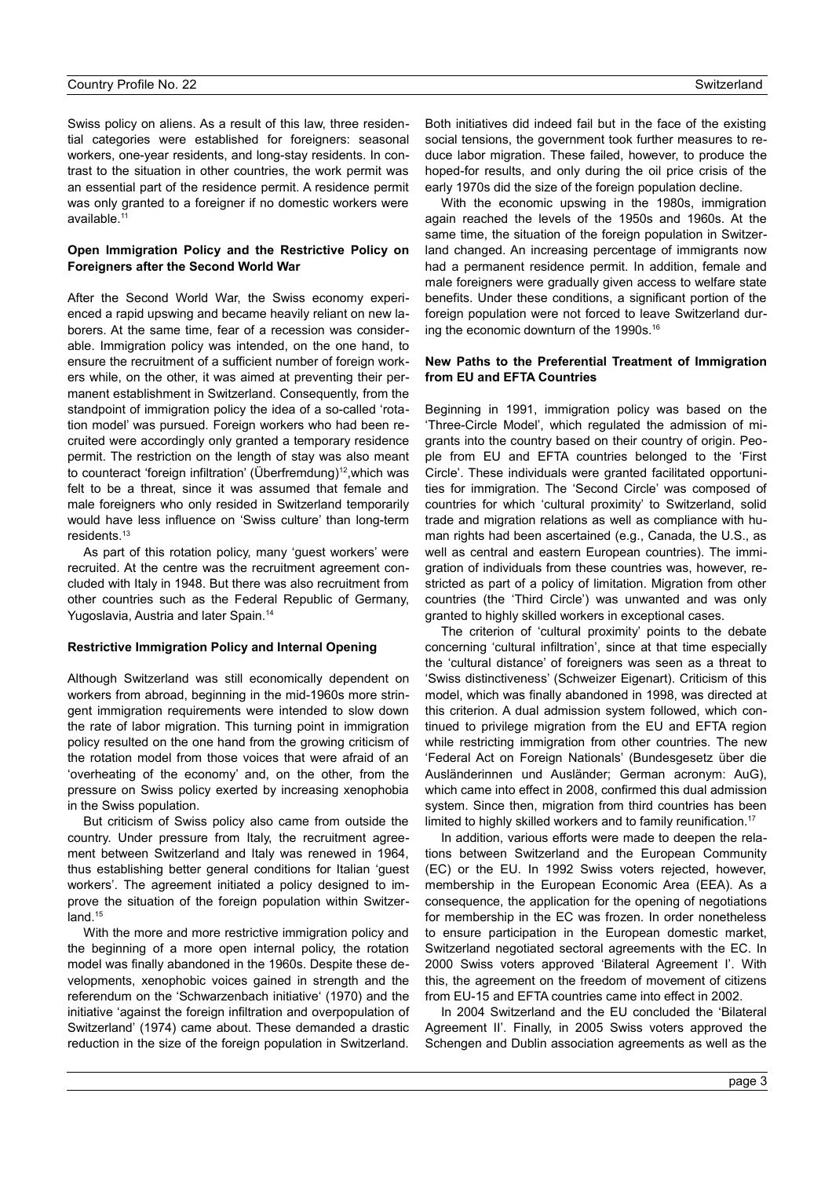Swiss policy on aliens. As a result of this law, three residential categories were established for foreigners: seasonal workers, one-year residents, and long-stay residents. In contrast to the situation in other countries, the work permit was an essential part of the residence permit. A residence permit was only granted to a foreigner if no domestic workers were available.<sup>11</sup>

#### **Open Immigration Policy and the Restrictive Policy on Foreigners after the Second World War**

After the Second World War, the Swiss economy experienced a rapid upswing and became heavily reliant on new laborers. At the same time, fear of a recession was considerable. Immigration policy was intended, on the one hand, to ensure the recruitment of a sufficient number of foreign workers while, on the other, it was aimed at preventing their permanent establishment in Switzerland. Consequently, from the standpoint of immigration policy the idea of a so-called 'rotation model' was pursued. Foreign workers who had been recruited were accordingly only granted a temporary residence permit. The restriction on the length of stay was also meant to counteract 'foreign infiltration' (Überfremdung)<sup>12</sup>, which was felt to be a threat, since it was assumed that female and male foreigners who only resided in Switzerland temporarily would have less influence on 'Swiss culture' than long-term residents.<sup>13</sup>

As part of this rotation policy, many 'guest workers' were recruited. At the centre was the recruitment agreement concluded with Italy in 1948. But there was also recruitment from other countries such as the Federal Republic of Germany, Yugoslavia, Austria and later Spain.<sup>14</sup>

#### **Restrictive Immigration Policy and Internal Opening**

Although Switzerland was still economically dependent on workers from abroad, beginning in the mid-1960s more stringent immigration requirements were intended to slow down the rate of labor migration. This turning point in immigration policy resulted on the one hand from the growing criticism of the rotation model from those voices that were afraid of an 'overheating of the economy' and, on the other, from the pressure on Swiss policy exerted by increasing xenophobia in the Swiss population.

But criticism of Swiss policy also came from outside the country. Under pressure from Italy, the recruitment agreement between Switzerland and Italy was renewed in 1964, thus establishing better general conditions for Italian 'guest workers'. The agreement initiated a policy designed to improve the situation of the foreign population within Switzerland.<sup>15</sup>

With the more and more restrictive immigration policy and the beginning of a more open internal policy, the rotation model was finally abandoned in the 1960s. Despite these developments, xenophobic voices gained in strength and the referendum on the 'Schwarzenbach initiative' (1970) and the initiative 'against the foreign infiltration and overpopulation of Switzerland' (1974) came about. These demanded a drastic reduction in the size of the foreign population in Switzerland. Both initiatives did indeed fail but in the face of the existing social tensions, the government took further measures to reduce labor migration. These failed, however, to produce the hoped-for results, and only during the oil price crisis of the early 1970s did the size of the foreign population decline.

With the economic upswing in the 1980s, immigration again reached the levels of the 1950s and 1960s. At the same time, the situation of the foreign population in Switzerland changed. An increasing percentage of immigrants now had a permanent residence permit. In addition, female and male foreigners were gradually given access to welfare state benefits. Under these conditions, a significant portion of the foreign population were not forced to leave Switzerland during the economic downturn of the 1990s. 16

#### **New Paths to the Preferential Treatment of Immigration from EU and EFTA Countries**

Beginning in 1991, immigration policy was based on the 'Three-Circle Model', which regulated the admission of migrants into the country based on their country of origin. People from EU and EFTA countries belonged to the 'First Circle'. These individuals were granted facilitated opportunities for immigration. The 'Second Circle' was composed of countries for which 'cultural proximity' to Switzerland, solid trade and migration relations as well as compliance with human rights had been ascertained (e.g., Canada, the U.S., as well as central and eastern European countries). The immigration of individuals from these countries was, however, restricted as part of a policy of limitation. Migration from other countries (the 'Third Circle') was unwanted and was only granted to highly skilled workers in exceptional cases.

The criterion of 'cultural proximity' points to the debate concerning 'cultural infiltration', since at that time especially the 'cultural distance' of foreigners was seen as a threat to 'Swiss distinctiveness' (Schweizer Eigenart). Criticism of this model, which was finally abandoned in 1998, was directed at this criterion. A dual admission system followed, which continued to privilege migration from the EU and EFTA region while restricting immigration from other countries. The new 'Federal Act on Foreign Nationals' (Bundesgesetz über die Ausländerinnen und Ausländer; German acronym: AuG), which came into effect in 2008, confirmed this dual admission system. Since then, migration from third countries has been limited to highly skilled workers and to family reunification.<sup>17</sup>

In addition, various efforts were made to deepen the relations between Switzerland and the European Community (EC) or the EU. In 1992 Swiss voters rejected, however, membership in the European Economic Area (EEA). As a consequence, the application for the opening of negotiations for membership in the EC was frozen. In order nonetheless to ensure participation in the European domestic market, Switzerland negotiated sectoral agreements with the EC. In 2000 Swiss voters approved 'Bilateral Agreement I'. With this, the agreement on the freedom of movement of citizens from EU-15 and EFTA countries came into effect in 2002.

In 2004 Switzerland and the EU concluded the 'Bilateral Agreement II'. Finally, in 2005 Swiss voters approved the Schengen and Dublin association agreements as well as the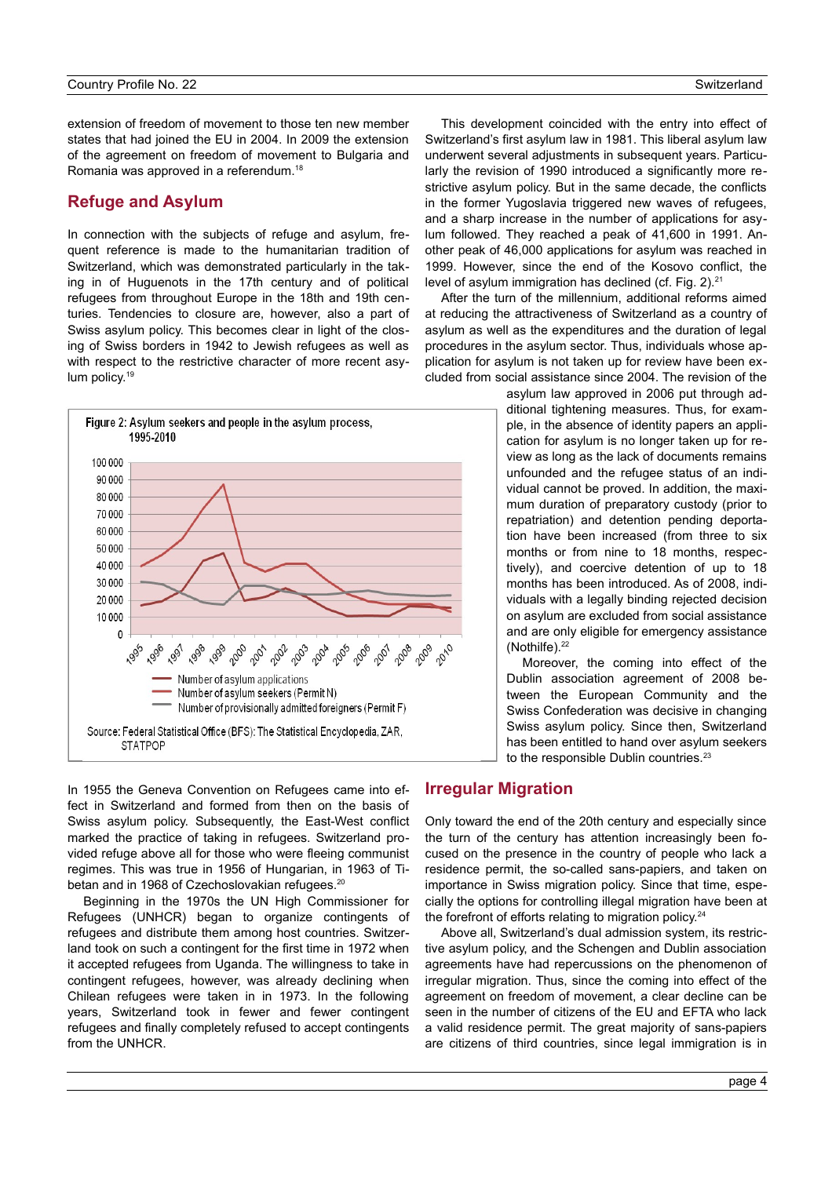extension of freedom of movement to those ten new member states that had joined the EU in 2004. In 2009 the extension of the agreement on freedom of movement to Bulgaria and Romania was approved in a referendum.<sup>18</sup>

## **Refuge and Asylum**

In connection with the subjects of refuge and asylum, frequent reference is made to the humanitarian tradition of Switzerland, which was demonstrated particularly in the taking in of Huguenots in the 17th century and of political refugees from throughout Europe in the 18th and 19th centuries. Tendencies to closure are, however, also a part of Swiss asylum policy. This becomes clear in light of the closing of Swiss borders in 1942 to Jewish refugees as well as with respect to the restrictive character of more recent asylum policy.<sup>19</sup>



In 1955 the Geneva Convention on Refugees came into effect in Switzerland and formed from then on the basis of Swiss asylum policy. Subsequently, the East-West conflict marked the practice of taking in refugees. Switzerland provided refuge above all for those who were fleeing communist regimes. This was true in 1956 of Hungarian, in 1963 of Tibetan and in 1968 of Czechoslovakian refugees.<sup>20</sup>

Beginning in the 1970s the UN High Commissioner for Refugees (UNHCR) began to organize contingents of refugees and distribute them among host countries. Switzerland took on such a contingent for the first time in 1972 when it accepted refugees from Uganda. The willingness to take in contingent refugees, however, was already declining when Chilean refugees were taken in in 1973. In the following years, Switzerland took in fewer and fewer contingent refugees and finally completely refused to accept contingents from the UNHCR.

This development coincided with the entry into effect of Switzerland's first asylum law in 1981. This liberal asylum law underwent several adjustments in subsequent years. Particularly the revision of 1990 introduced a significantly more restrictive asylum policy. But in the same decade, the conflicts in the former Yugoslavia triggered new waves of refugees, and a sharp increase in the number of applications for asylum followed. They reached a peak of 41,600 in 1991. Another peak of 46,000 applications for asylum was reached in 1999. However, since the end of the Kosovo conflict, the level of asylum immigration has declined (cf. Fig.  $2$ ).<sup>21</sup>

After the turn of the millennium, additional reforms aimed at reducing the attractiveness of Switzerland as a country of asylum as well as the expenditures and the duration of legal procedures in the asylum sector. Thus, individuals whose application for asylum is not taken up for review have been excluded from social assistance since 2004. The revision of the

> asylum law approved in 2006 put through additional tightening measures. Thus, for example, in the absence of identity papers an application for asylum is no longer taken up for review as long as the lack of documents remains unfounded and the refugee status of an individual cannot be proved. In addition, the maximum duration of preparatory custody (prior to repatriation) and detention pending deportation have been increased (from three to six months or from nine to 18 months, respectively), and coercive detention of up to 18 months has been introduced. As of 2008, individuals with a legally binding rejected decision on asylum are excluded from social assistance and are only eligible for emergency assistance (Nothilfe).<sup>22</sup>

> Moreover, the coming into effect of the Dublin association agreement of 2008 between the European Community and the Swiss Confederation was decisive in changing Swiss asylum policy. Since then, Switzerland has been entitled to hand over asylum seekers to the responsible Dublin countries.<sup>23</sup>

## **Irregular Migration**

Only toward the end of the 20th century and especially since the turn of the century has attention increasingly been focused on the presence in the country of people who lack a residence permit, the so-called sans-papiers, and taken on importance in Swiss migration policy. Since that time, especially the options for controlling illegal migration have been at the forefront of efforts relating to migration policy.<sup>24</sup>

Above all, Switzerland's dual admission system, its restrictive asylum policy, and the Schengen and Dublin association agreements have had repercussions on the phenomenon of irregular migration. Thus, since the coming into effect of the agreement on freedom of movement, a clear decline can be seen in the number of citizens of the EU and EFTA who lack a valid residence permit. The great majority of sans-papiers are citizens of third countries, since legal immigration is in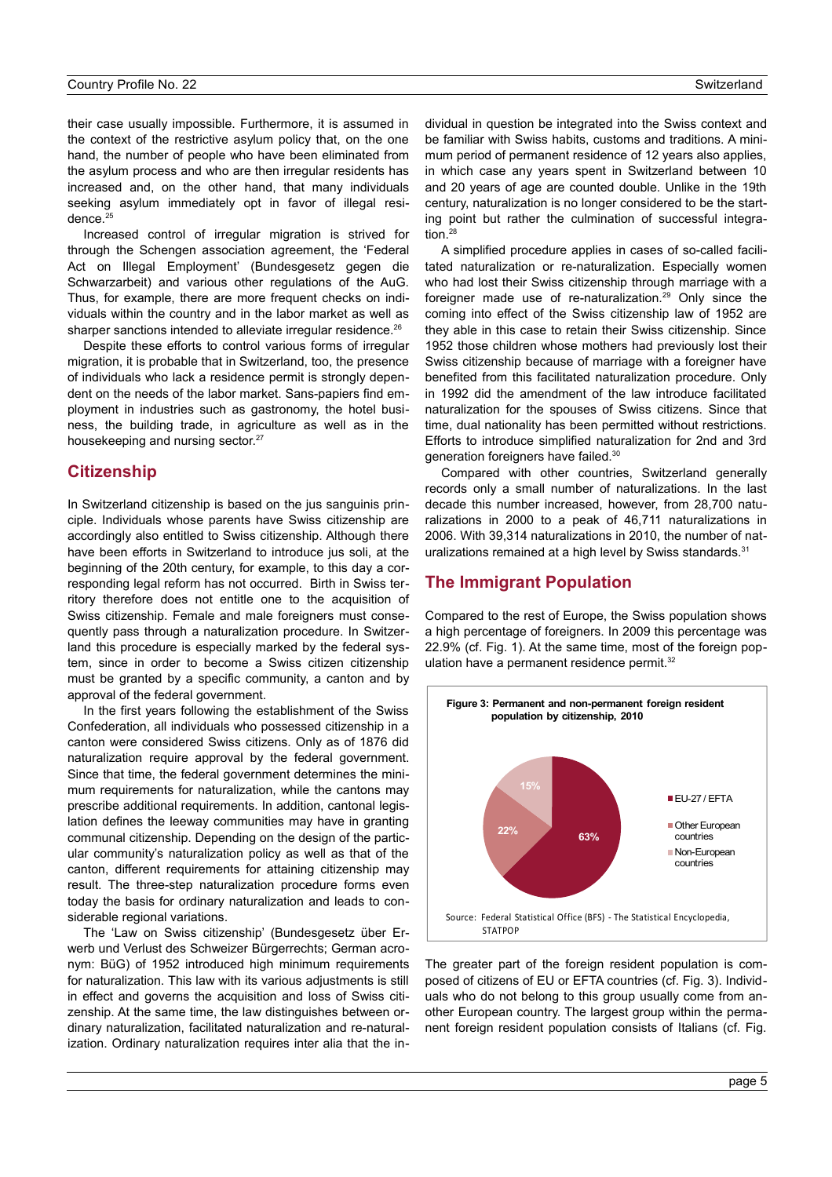their case usually impossible. Furthermore, it is assumed in the context of the restrictive asylum policy that, on the one hand, the number of people who have been eliminated from the asylum process and who are then irregular residents has increased and, on the other hand, that many individuals seeking asylum immediately opt in favor of illegal residence. $25$ 

Increased control of irregular migration is strived for through the Schengen association agreement, the 'Federal Act on Illegal Employment' (Bundesgesetz gegen die Schwarzarbeit) and various other regulations of the AuG. Thus, for example, there are more frequent checks on individuals within the country and in the labor market as well as sharper sanctions intended to alleviate irregular residence.<sup>26</sup>

Despite these efforts to control various forms of irregular migration, it is probable that in Switzerland, too, the presence of individuals who lack a residence permit is strongly dependent on the needs of the labor market. Sans-papiers find employment in industries such as gastronomy, the hotel business, the building trade, in agriculture as well as in the housekeeping and nursing sector.<sup>27</sup>

## **Citizenship**

In Switzerland citizenship is based on the jus sanguinis principle. Individuals whose parents have Swiss citizenship are accordingly also entitled to Swiss citizenship. Although there have been efforts in Switzerland to introduce jus soli, at the beginning of the 20th century, for example, to this day a corresponding legal reform has not occurred. Birth in Swiss territory therefore does not entitle one to the acquisition of Swiss citizenship. Female and male foreigners must consequently pass through a naturalization procedure. In Switzerland this procedure is especially marked by the federal system, since in order to become a Swiss citizen citizenship must be granted by a specific community, a canton and by approval of the federal government.

In the first years following the establishment of the Swiss Confederation, all individuals who possessed citizenship in a canton were considered Swiss citizens. Only as of 1876 did naturalization require approval by the federal government. Since that time, the federal government determines the minimum requirements for naturalization, while the cantons may prescribe additional requirements. In addition, cantonal legislation defines the leeway communities may have in granting communal citizenship. Depending on the design of the particular community's naturalization policy as well as that of the canton, different requirements for attaining citizenship may result. The three-step naturalization procedure forms even today the basis for ordinary naturalization and leads to considerable regional variations.

The 'Law on Swiss citizenship' (Bundesgesetz über Erwerb und Verlust des Schweizer Bürgerrechts; German acronym: BüG) of 1952 introduced high minimum requirements for naturalization. This law with its various adjustments is still in effect and governs the acquisition and loss of Swiss citizenship. At the same time, the law distinguishes between ordinary naturalization, facilitated naturalization and re-naturalization. Ordinary naturalization requires inter alia that the individual in question be integrated into the Swiss context and be familiar with Swiss habits, customs and traditions. A minimum period of permanent residence of 12 years also applies, in which case any years spent in Switzerland between 10 and 20 years of age are counted double. Unlike in the 19th century, naturalization is no longer considered to be the starting point but rather the culmination of successful integration.<sup>28</sup>

A simplified procedure applies in cases of so-called facilitated naturalization or re-naturalization. Especially women who had lost their Swiss citizenship through marriage with a foreigner made use of re-naturalization.<sup>29</sup> Only since the coming into effect of the Swiss citizenship law of 1952 are they able in this case to retain their Swiss citizenship. Since 1952 those children whose mothers had previously lost their Swiss citizenship because of marriage with a foreigner have benefited from this facilitated naturalization procedure. Only in 1992 did the amendment of the law introduce facilitated naturalization for the spouses of Swiss citizens. Since that time, dual nationality has been permitted without restrictions. Efforts to introduce simplified naturalization for 2nd and 3rd generation foreigners have failed.<sup>30</sup>

Compared with other countries, Switzerland generally records only a small number of naturalizations. In the last decade this number increased, however, from 28,700 naturalizations in 2000 to a peak of 46,711 naturalizations in 2006. With 39,314 naturalizations in 2010, the number of naturalizations remained at a high level by Swiss standards.<sup>31</sup>

## **The Immigrant Population**

Compared to the rest of Europe, the Swiss population shows a high percentage of foreigners. In 2009 this percentage was 22.9% (cf. Fig. 1). At the same time, most of the foreign population have a permanent residence permit.<sup>32</sup>



The greater part of the foreign resident population is composed of citizens of EU or EFTA countries (cf. Fig. 3). Individuals who do not belong to this group usually come from another European country. The largest group within the permanent foreign resident population consists of Italians (cf. Fig.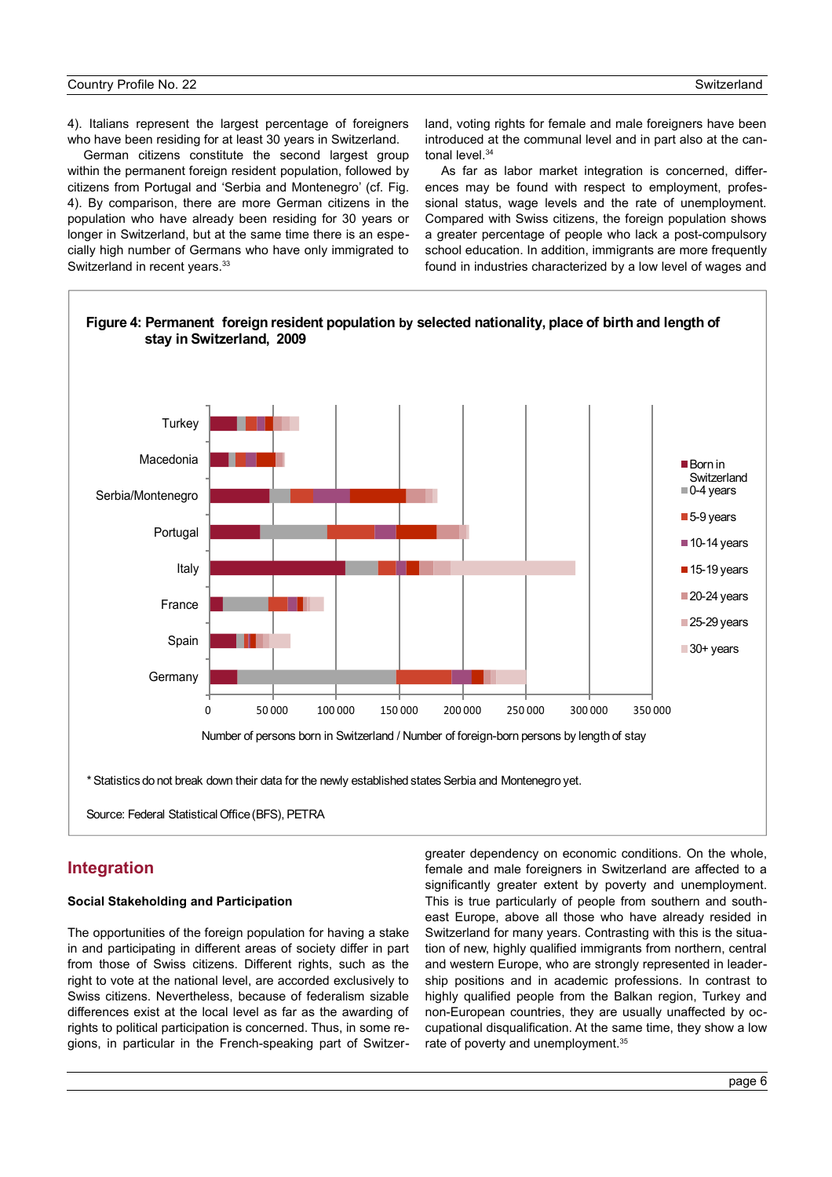4). Italians represent the largest percentage of foreigners who have been residing for at least 30 years in Switzerland.

German citizens constitute the second largest group within the permanent foreign resident population, followed by citizens from Portugal and 'Serbia and Montenegro' (cf. Fig. 4). By comparison, there are more German citizens in the population who have already been residing for 30 years or longer in Switzerland, but at the same time there is an especially high number of Germans who have only immigrated to Switzerland in recent years.<sup>33</sup>

land, voting rights for female and male foreigners have been introduced at the communal level and in part also at the cantonal level.<sup>34</sup>

As far as labor market integration is concerned, differences may be found with respect to employment, professional status, wage levels and the rate of unemployment. Compared with Swiss citizens, the foreign population shows a greater percentage of people who lack a post-compulsory school education. In addition, immigrants are more frequently found in industries characterized by a low level of wages and



## **Integration**

#### **Social Stakeholding and Participation**

The opportunities of the foreign population for having a stake in and participating in different areas of society differ in part from those of Swiss citizens. Different rights, such as the right to vote at the national level, are accorded exclusively to Swiss citizens. Nevertheless, because of federalism sizable differences exist at the local level as far as the awarding of rights to political participation is concerned. Thus, in some regions, in particular in the French-speaking part of Switzergreater dependency on economic conditions. On the whole, female and male foreigners in Switzerland are affected to a significantly greater extent by poverty and unemployment. This is true particularly of people from southern and southeast Europe, above all those who have already resided in Switzerland for many years. Contrasting with this is the situation of new, highly qualified immigrants from northern, central and western Europe, who are strongly represented in leadership positions and in academic professions. In contrast to highly qualified people from the Balkan region, Turkey and non-European countries, they are usually unaffected by occupational disqualification. At the same time, they show a low rate of poverty and unemployment.<sup>35</sup>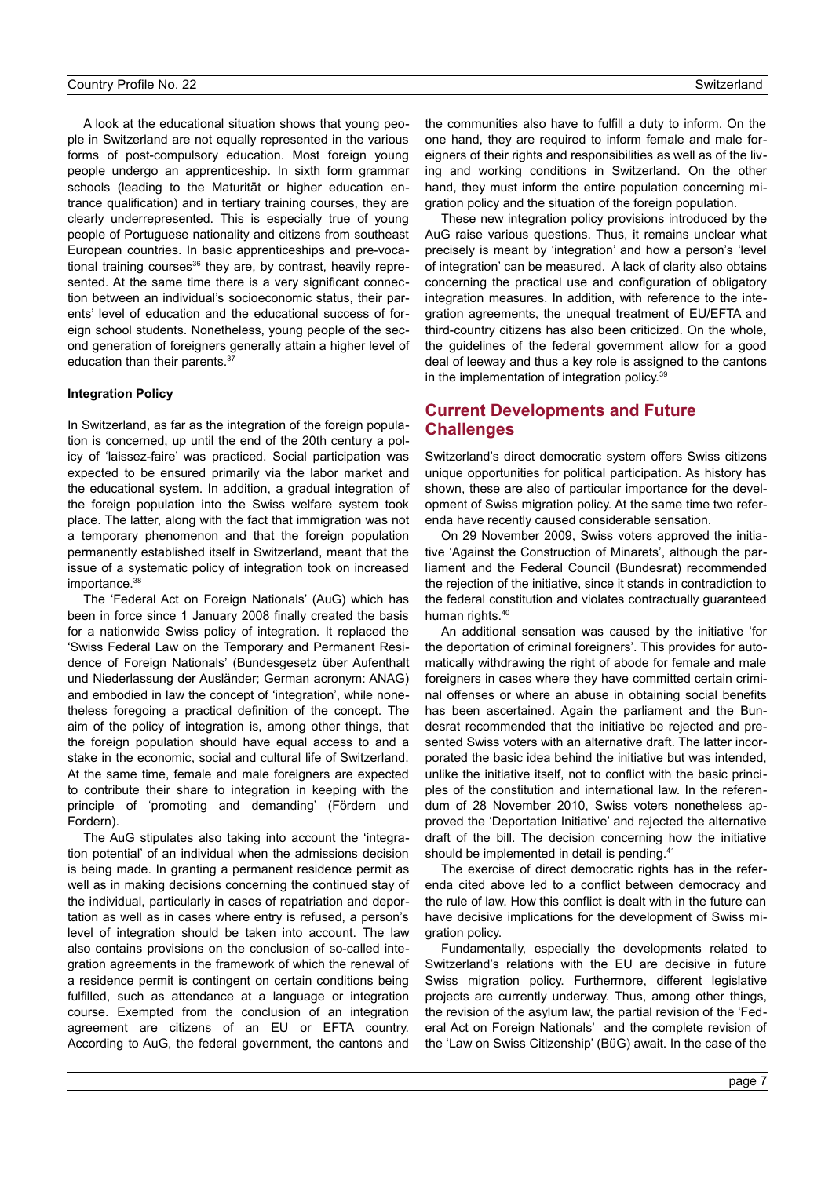A look at the educational situation shows that young people in Switzerland are not equally represented in the various forms of post-compulsory education. Most foreign young people undergo an apprenticeship. In sixth form grammar schools (leading to the Maturität or higher education entrance qualification) and in tertiary training courses, they are clearly underrepresented. This is especially true of young people of Portuguese nationality and citizens from southeast European countries. In basic apprenticeships and pre-vocational training courses<sup>36</sup> they are, by contrast, heavily represented. At the same time there is a very significant connection between an individual's socioeconomic status, their parents' level of education and the educational success of foreign school students. Nonetheless, young people of the second generation of foreigners generally attain a higher level of education than their parents.<sup>37</sup>

#### **Integration Policy**

In Switzerland, as far as the integration of the foreign population is concerned, up until the end of the 20th century a policy of 'laissez-faire' was practiced. Social participation was expected to be ensured primarily via the labor market and the educational system. In addition, a gradual integration of the foreign population into the Swiss welfare system took place. The latter, along with the fact that immigration was not a temporary phenomenon and that the foreign population permanently established itself in Switzerland, meant that the issue of a systematic policy of integration took on increased importance.<sup>38</sup>

The 'Federal Act on Foreign Nationals' (AuG) which has been in force since 1 January 2008 finally created the basis for a nationwide Swiss policy of integration. It replaced the 'Swiss Federal Law on the Temporary and Permanent Residence of Foreign Nationals' (Bundesgesetz über Aufenthalt und Niederlassung der Ausländer; German acronym: ANAG) and embodied in law the concept of 'integration', while nonetheless foregoing a practical definition of the concept. The aim of the policy of integration is, among other things, that the foreign population should have equal access to and a stake in the economic, social and cultural life of Switzerland. At the same time, female and male foreigners are expected to contribute their share to integration in keeping with the principle of 'promoting and demanding' (Fördern und Fordern).

The AuG stipulates also taking into account the 'integration potential' of an individual when the admissions decision is being made. In granting a permanent residence permit as well as in making decisions concerning the continued stay of the individual, particularly in cases of repatriation and deportation as well as in cases where entry is refused, a person's level of integration should be taken into account. The law also contains provisions on the conclusion of so-called integration agreements in the framework of which the renewal of a residence permit is contingent on certain conditions being fulfilled, such as attendance at a language or integration course. Exempted from the conclusion of an integration agreement are citizens of an EU or EFTA country. According to AuG, the federal government, the cantons and the communities also have to fulfill a duty to inform. On the one hand, they are required to inform female and male foreigners of their rights and responsibilities as well as of the living and working conditions in Switzerland. On the other hand, they must inform the entire population concerning migration policy and the situation of the foreign population.

These new integration policy provisions introduced by the AuG raise various questions. Thus, it remains unclear what precisely is meant by 'integration' and how a person's 'level of integration' can be measured. A lack of clarity also obtains concerning the practical use and configuration of obligatory integration measures. In addition, with reference to the integration agreements, the unequal treatment of EU/EFTA and third-country citizens has also been criticized. On the whole, the guidelines of the federal government allow for a good deal of leeway and thus a key role is assigned to the cantons in the implementation of integration policy.<sup>39</sup>

## **Current Developments and Future Challenges**

Switzerland's direct democratic system offers Swiss citizens unique opportunities for political participation. As history has shown, these are also of particular importance for the development of Swiss migration policy. At the same time two referenda have recently caused considerable sensation.

On 29 November 2009, Swiss voters approved the initiative 'Against the Construction of Minarets', although the parliament and the Federal Council (Bundesrat) recommended the rejection of the initiative, since it stands in contradiction to the federal constitution and violates contractually guaranteed human rights.<sup>40</sup>

An additional sensation was caused by the initiative 'for the deportation of criminal foreigners'. This provides for automatically withdrawing the right of abode for female and male foreigners in cases where they have committed certain criminal offenses or where an abuse in obtaining social benefits has been ascertained. Again the parliament and the Bundesrat recommended that the initiative be rejected and presented Swiss voters with an alternative draft. The latter incorporated the basic idea behind the initiative but was intended, unlike the initiative itself, not to conflict with the basic principles of the constitution and international law. In the referendum of 28 November 2010, Swiss voters nonetheless approved the 'Deportation Initiative' and rejected the alternative draft of the bill. The decision concerning how the initiative should be implemented in detail is pending.<sup>41</sup>

The exercise of direct democratic rights has in the referenda cited above led to a conflict between democracy and the rule of law. How this conflict is dealt with in the future can have decisive implications for the development of Swiss migration policy.

Fundamentally, especially the developments related to Switzerland's relations with the EU are decisive in future Swiss migration policy. Furthermore, different legislative projects are currently underway. Thus, among other things, the revision of the asylum law, the partial revision of the 'Federal Act on Foreign Nationals' and the complete revision of the 'Law on Swiss Citizenship' (BüG) await. In the case of the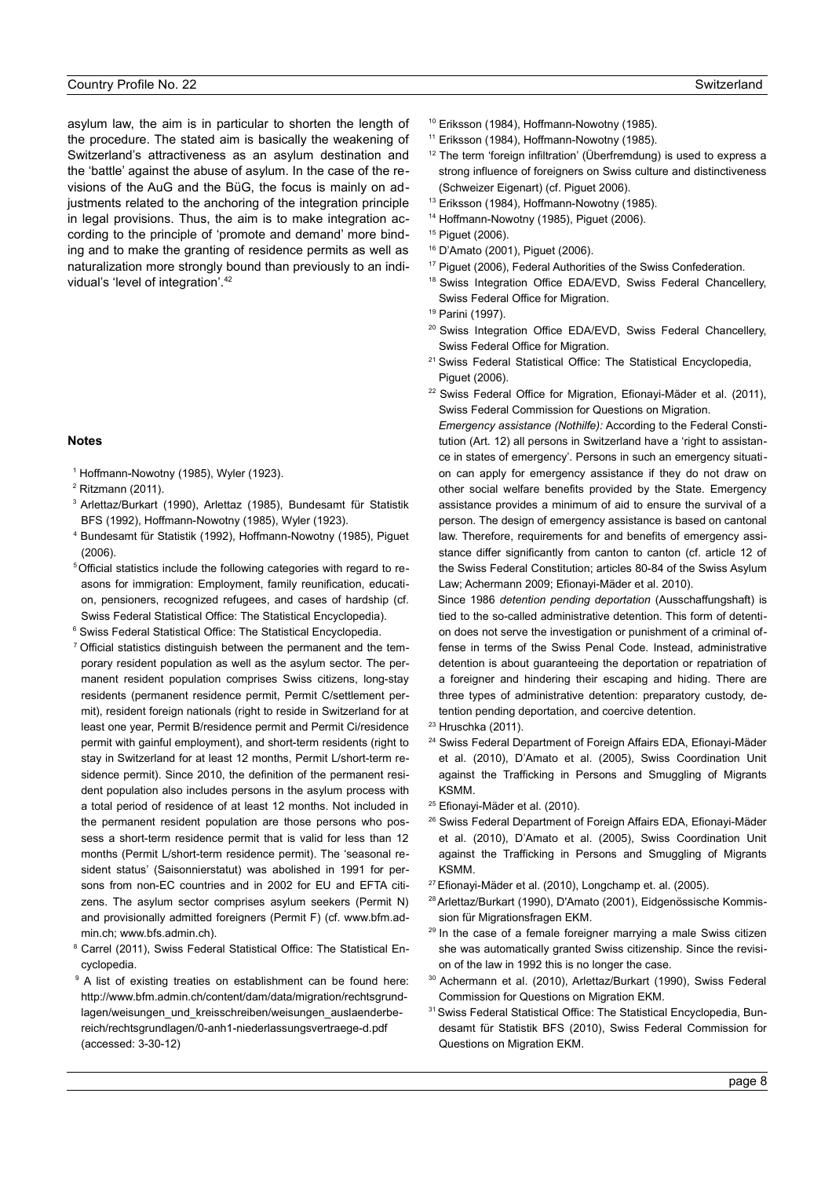asylum law, the aim is in particular to shorten the length of the procedure. The stated aim is basically the weakening of Switzerland's attractiveness as an asylum destination and the 'battle' against the abuse of asylum. In the case of the revisions of the AuG and the BüG, the focus is mainly on adjustments related to the anchoring of the integration principle in legal provisions. Thus, the aim is to make integration according to the principle of 'promote and demand' more binding and to make the granting of residence permits as well as naturalization more strongly bound than previously to an individual's 'level of integration'.<sup>42</sup>

#### **Notes**

- <sup>1</sup> Hoffmann-Nowotny (1985), Wyler (1923).
- $2$  Ritzmann (2011).
- .3 Arlettaz/Burkart (1990), Arlettaz (1985), Bundesamt für Statistik BFS (1992), Hoffmann-Nowotny (1985), Wyler (1923).
- <sup>4</sup> Bundesamt für Statistik (1992), Hoffmann-Nowotny (1985), Piguet (2006).
- 5Official statistics include the following categories with regard to reasons for immigration: Employment, family reunification, education, pensioners, recognized refugees, and cases of hardship (cf. Swiss Federal Statistical Office: The Statistical Encyclopedia).
- <sup>6</sup> Swiss Federal Statistical Office: The Statistical Encyclopedia.
- $7$  Official statistics distinguish between the permanent and the temporary resident population as well as the asylum sector. The permanent resident population comprises Swiss citizens, long-stay residents (permanent residence permit, Permit C/settlement permit), resident foreign nationals (right to reside in Switzerland for at least one year, Permit B/residence permit and Permit Ci/residence permit with gainful employment), and short-term residents (right to stay in Switzerland for at least 12 months, Permit L/short-term residence permit). Since 2010, the definition of the permanent resident population also includes persons in the asylum process with a total period of residence of at least 12 months. Not included in the permanent resident population are those persons who possess a short-term residence permit that is valid for less than 12 months (Permit L/short-term residence permit). The 'seasonal resident status' (Saisonnierstatut) was abolished in 1991 for persons from non-EC countries and in 2002 for EU and EFTA citizens. The asylum sector comprises asylum seekers (Permit N) and provisionally admitted foreigners (Permit F) (cf. www.bfm.admin.ch; www.bfs.admin.ch).
- <sup>8</sup> Carrel (2011), Swiss Federal Statistical Office: The Statistical Encyclopedia.
- <sup>9</sup> A list of existing treaties on establishment can be found here: http://www.bfm.admin.ch/content/dam/data/migration/rechtsgrundlagen/weisungen\_und\_kreisschreiben/weisungen\_auslaenderbereich/rechtsgrundlagen/0-anh1-niederlassungsvertraege-d.pdf (accessed: 3-30-12)
- <sup>10</sup> Eriksson (1984), Hoffmann-Nowotny (1985).
- <sup>11</sup> Eriksson (1984), Hoffmann-Nowotny (1985).
- <sup>12</sup> The term 'foreign infiltration' (Überfremdung) is used to express a strong influence of foreigners on Swiss culture and distinctiveness (Schweizer Eigenart) (cf. Piguet 2006).
- <sup>13</sup> Eriksson (1984), Hoffmann-Nowotny (1985).
- <sup>14</sup> Hoffmann-Nowotny (1985), Piguet (2006).
- <sup>15</sup> Piguet (2006).
- <sup>16</sup> D'Amato (2001), Piguet (2006).
- <sup>17</sup> Piguet (2006), Federal Authorities of the Swiss Confederation.
- <sup>18</sup> Swiss Integration Office EDA/EVD, Swiss Federal Chancellery, Swiss Federal Office for Migration.
- <sup>19</sup> Parini (1997).
- <sup>20</sup> Swiss Integration Office EDA/EVD, Swiss Federal Chancellery, Swiss Federal Office for Migration.
- <sup>21</sup> Swiss Federal Statistical Office: The Statistical Encyclopedia. Piguet (2006).
- <sup>22</sup> Swiss Federal Office for Migration, Efionayi-Mäder et al. (2011), Swiss Federal Commission for Questions on Migration.

 *Emergency assistance (Nothilfe):* According to the Federal Constitution (Art. 12) all persons in Switzerland have a 'right to assistance in states of emergency'. Persons in such an emergency situation can apply for emergency assistance if they do not draw on other social welfare benefits provided by the State. Emergency assistance provides a minimum of aid to ensure the survival of a person. The design of emergency assistance is based on cantonal law. Therefore, requirements for and benefits of emergency assistance differ significantly from canton to canton (cf. article 12 of the Swiss Federal Constitution; articles 80-84 of the Swiss Asylum Law; Achermann 2009; Efionayi-Mäder et al. 2010).

 Since 1986 *detention pending deportation* (Ausschaffungshaft) is tied to the so-called administrative detention. This form of detention does not serve the investigation or punishment of a criminal offense in terms of the Swiss Penal Code. Instead, administrative detention is about guaranteeing the deportation or repatriation of a foreigner and hindering their escaping and hiding. There are three types of administrative detention: preparatory custody, detention pending deportation, and coercive detention.

- $23$  Hruschka (2011).
- <sup>24</sup> Swiss Federal Department of Foreign Affairs EDA, Efionayi-Mäder et al. (2010), D'Amato et al. (2005), Swiss Coordination Unit against the Trafficking in Persons and Smuggling of Migrants KSMM.
- <sup>25</sup> Efionayi-Mäder et al. (2010).
- <sup>26</sup> Swiss Federal Department of Foreign Affairs EDA, Efionayi-Mäder et al. (2010), D'Amato et al. (2005), Swiss Coordination Unit against the Trafficking in Persons and Smuggling of Migrants KSMM.
- <sup>27</sup> Efionayi-Mäder et al. (2010), Longchamp et. al. (2005).
- 28 Arlettaz/Burkart (1990), D'Amato (2001), Eidgenössische Kommission für Migrationsfragen EKM.
- <sup>29</sup> In the case of a female foreigner marrying a male Swiss citizen she was automatically granted Swiss citizenship. Since the revision of the law in 1992 this is no longer the case.
- <sup>30</sup> Achermann et al. (2010), Arlettaz/Burkart (1990), Swiss Federal Commission for Questions on Migration EKM.
- <sup>31</sup> Swiss Federal Statistical Office: The Statistical Encyclopedia, Bundesamt für Statistik BFS (2010), Swiss Federal Commission for Questions on Migration EKM.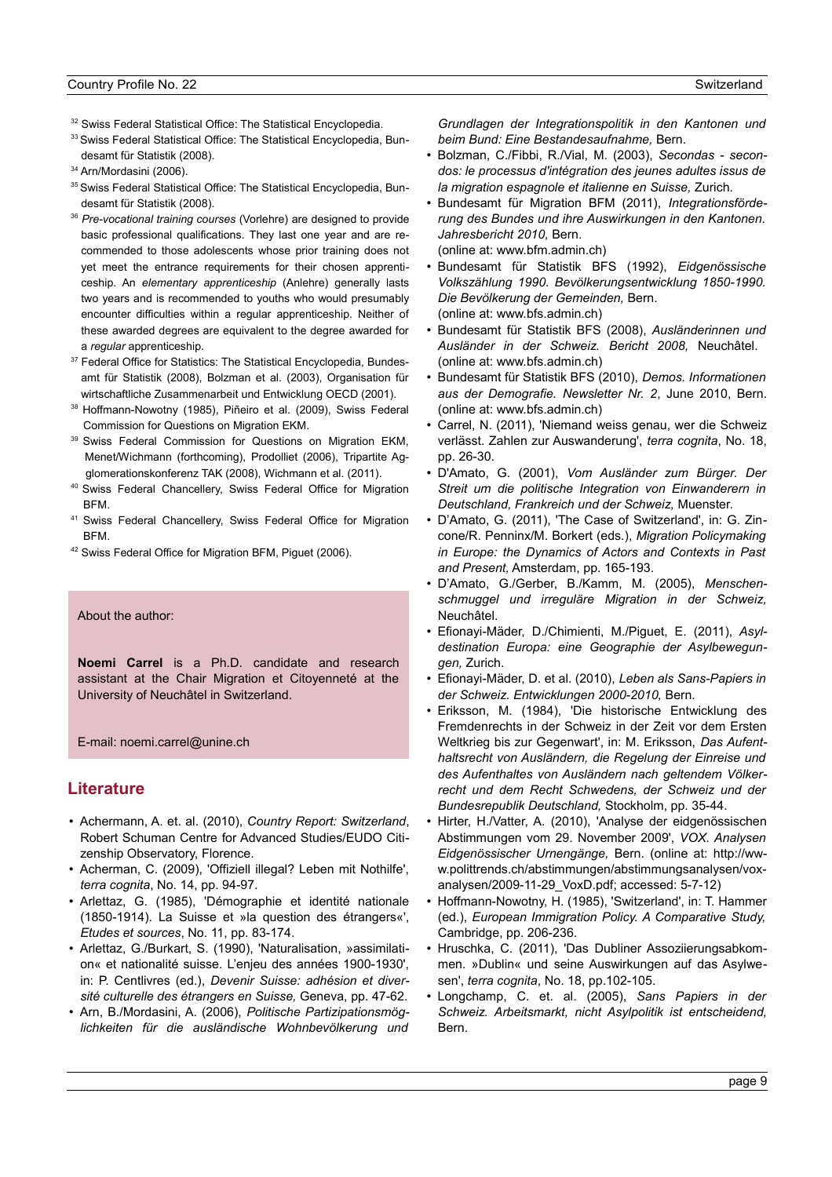- 32 Swiss Federal Statistical Office: The Statistical Encyclopedia.
- <sup>33</sup> Swiss Federal Statistical Office: The Statistical Encyclopedia, Bundesamt für Statistik (2008).
- <sup>34</sup> Arn/Mordasini (2006).
- <sup>35</sup> Swiss Federal Statistical Office: The Statistical Encyclopedia, Bundesamt für Statistik (2008).
- <sup>36</sup> *Pre-vocational training courses* (Vorlehre) are designed to provide basic professional qualifications. They last one year and are recommended to those adolescents whose prior training does not yet meet the entrance requirements for their chosen apprenticeship. An *elementary apprenticeship* (Anlehre) generally lasts two years and is recommended to youths who would presumably encounter difficulties within a regular apprenticeship. Neither of these awarded degrees are equivalent to the degree awarded for a *regular* apprenticeship.
- <sup>37</sup> Federal Office for Statistics: The Statistical Encyclopedia, Bundesamt für Statistik (2008), Bolzman et al. (2003), Organisation für wirtschaftliche Zusammenarbeit und Entwicklung OECD (2001).
- <sup>38</sup> Hoffmann-Nowotny (1985), Piñeiro et al. (2009), Swiss Federal Commission for Questions on Migration EKM.
- 39 Swiss Federal Commission for Questions on Migration EKM, Menet/Wichmann (forthcoming), Prodolliet (2006), Tripartite Ag glomerationskonferenz TAK (2008), Wichmann et al. (2011).
- <sup>40</sup> Swiss Federal Chancellery, Swiss Federal Office for Migration **BFM**
- <sup>41</sup> Swiss Federal Chancellery, Swiss Federal Office for Migration BFM.
- <sup>42</sup> Swiss Federal Office for Migration BFM, Piguet (2006).

About the author:

**Noemi Carrel** is a Ph.D. candidate and research assistant at the Chair Migration et Citoyenneté at the University of Neuchâtel in Switzerland.

E-mail: noemi.carrel@unine.ch

## **Literature**

- Achermann, A. et. al. (2010), *Country Report: Switzerland*, Robert Schuman Centre for Advanced Studies/EUDO Citizenship Observatory, Florence.
- Acherman, C. (2009), 'Offiziell illegal? Leben mit Nothilfe', *terra cognita*, No. 14, pp. 94-97.
- Arlettaz, G. (1985), 'Démographie et identité nationale (1850-1914). La Suisse et »la question des étrangers«', *Etudes et sources*, No. 11, pp. 83-174.
- Arlettaz, G./Burkart, S. (1990), 'Naturalisation, »assimilation« et nationalité suisse. L'enjeu des années 1900-1930', in: P. Centlivres (ed.), *Devenir Suisse: adhésion et diversité culturelle des étrangers en Suisse,* Geneva, pp. 47-62.
- Arn, B./Mordasini, A. (2006), *Politische Partizipationsmöglichkeiten für die ausländische Wohnbevölkerung und*

*Grundlagen der Integrationspolitik in den Kantonen und beim Bund: Eine Bestandesaufnahme,* Bern.

- Bolzman, C./Fibbi, R./Vial, M. (2003), *Secondas secondos: le processus d'intégration des jeunes adultes issus de la migration espagnole et italienne en Suisse,* Zurich.
- Bundesamt für Migration BFM (2011), *Integrationsförderung des Bundes und ihre Auswirkungen in den Kantonen. Jahresbericht 2010,* Bern. (online at: www.bfm.admin.ch)
- Bundesamt für Statistik BFS (1992), *Eidgenössische Volkszählung 1990. Bevölkerungsentwicklung 1850-1990. Die Bevölkerung der Gemeinden,* Bern. (online at: www.bfs.admin.ch)
- Bundesamt für Statistik BFS (2008), *Ausländerinnen und Ausländer in der Schweiz. Bericht 2008,* Neuchâtel. (online at: [www.bfs.admin.ch\)](http://www.bfs.admin.ch/)
- Bundesamt für Statistik BFS (2010), *Demos. Informationen aus der Demografie. Newsletter Nr. 2*, June 2010, Bern. (online at: www.bfs.admin.ch)
- Carrel, N. (2011), 'Niemand weiss genau, wer die Schweiz verlässt. Zahlen zur Auswanderung', *terra cognita*, No. 18, pp. 26-30.
- D'Amato, G. (2001), *Vom Ausländer zum Bürger. Der Streit um die politische Integration von Einwanderern in Deutschland, Frankreich und der Schweiz,* Muenster.
- D'Amato, G. (2011), 'The Case of Switzerland', in: G. Zincone/R. Penninx/M. Borkert (eds.), *Migration Policymaking in Europe: the Dynamics of Actors and Contexts in Past and Present,* Amsterdam, pp. 165-193.
- D'Amato, G./Gerber, B./Kamm, M. (2005), *Menschenschmuggel und irreguläre Migration in der Schweiz,* Neuchâtel.
- Efionayi-Mäder, D./Chimienti, M./Piguet, E. (2011), *Asyldestination Europa: eine Geographie der Asylbewegungen,* Zurich.
- Efionayi-Mäder, D. et al. (2010), *Leben als Sans-Papiers in der Schweiz. Entwicklungen 2000-2010,* Bern.
- Eriksson, M. (1984), 'Die historische Entwicklung des Fremdenrechts in der Schweiz in der Zeit vor dem Ersten Weltkrieg bis zur Gegenwart', in: M. Eriksson, *Das Aufenthaltsrecht von Ausländern, die Regelung der Einreise und des Aufenthaltes von Ausländern nach geltendem Völkerrecht und dem Recht Schwedens, der Schweiz und der Bundesrepublik Deutschland,* Stockholm, pp. 35-44.
- Hirter, H./Vatter, A. (2010), 'Analyse der eidgenössischen Abstimmungen vom 29. November 2009', *VOX. Analysen Eidgenössischer Urnengänge,* Bern. (online at: [http://ww](http://www.polittrends.ch/abstimmungen/abstimmungsanalysen/vox-analysen/2009-11-29_VoxD.pdf)[w.polittrends.ch/abstimmungen/abstimmungsanalysen/vox](http://www.polittrends.ch/abstimmungen/abstimmungsanalysen/vox-analysen/2009-11-29_VoxD.pdf)[analysen/2009-11-29\\_VoxD.pdf;](http://www.polittrends.ch/abstimmungen/abstimmungsanalysen/vox-analysen/2009-11-29_VoxD.pdf) accessed: 5-7-12)
- Hoffmann-Nowotny, H. (1985), 'Switzerland', in: T. Hammer (ed.), *European Immigration Policy. A Comparative Study,* Cambridge, pp. 206-236.
- Hruschka, C. (2011), 'Das Dubliner Assoziierungsabkommen. »Dublin« und seine Auswirkungen auf das Asylwesen', *terra cognita*, No. 18, pp.102-105.
- Longchamp, C. et. al. (2005), *Sans Papiers in der Schweiz. Arbeitsmarkt, nicht Asylpolitik ist entscheidend,* Bern.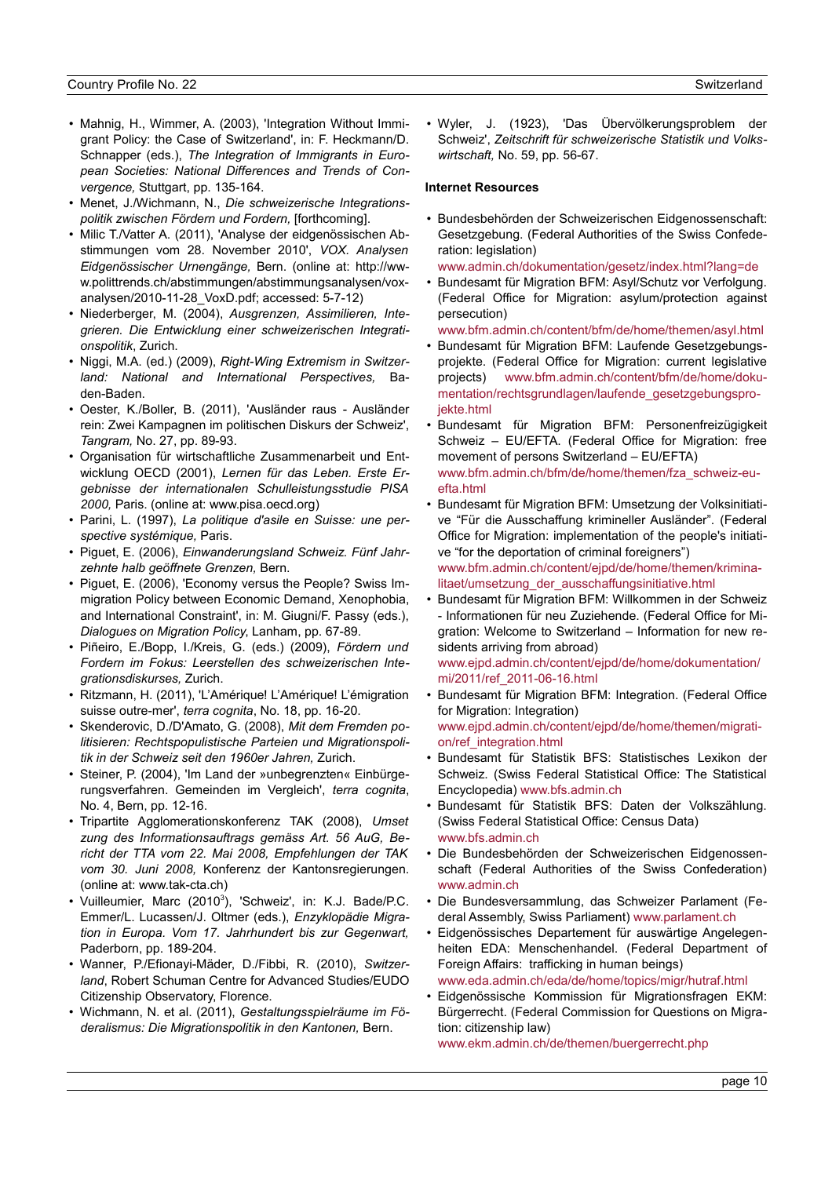- Mahnig, H., Wimmer, A. (2003), 'Integration Without Immigrant Policy: the Case of Switzerland', in: F. Heckmann/D. Schnapper (eds.), *The Integration of Immigrants in European Societies: National Differences and Trends of Convergence,* Stuttgart, pp. 135-164.
- Menet, J./Wichmann, N., *Die schweizerische Integrationspolitik zwischen Fördern und Fordern,* [forthcoming].
- Milic T./Vatter A. (2011), 'Analyse der eidgenössischen Abstimmungen vom 28. November 2010', *VOX. Analysen Eidgenössischer Urnengänge,* Bern. (online at: [http://ww](http://www.polittrends.ch/abstimmungen/abstimmungsanalysen/vox-analysen/2010-11-28_VoxD.pdf)[w.polittrends.ch/abstimmungen/abstimmungsanalysen/vox](http://www.polittrends.ch/abstimmungen/abstimmungsanalysen/vox-analysen/2010-11-28_VoxD.pdf)[analysen/2010-11-28\\_VoxD.pdf;](http://www.polittrends.ch/abstimmungen/abstimmungsanalysen/vox-analysen/2010-11-28_VoxD.pdf) accessed: 5-7-12)
- Niederberger, M. (2004), *Ausgrenzen, Assimilieren, Integrieren. Die Entwicklung einer schweizerischen Integrationspolitik*, Zurich.
- Niggi, M.A. (ed.) (2009), *Right-Wing Extremism in Switzerland: National and International Perspectives,* Baden-Baden.
- Oester, K./Boller, B. (2011), 'Ausländer raus Ausländer rein: Zwei Kampagnen im politischen Diskurs der Schweiz', *Tangram,* No. 27, pp. 89-93.
- Organisation für wirtschaftliche Zusammenarbeit und Entwicklung OECD (2001), *Lernen für das Leben. Erste Ergebnisse der internationalen Schulleistungsstudie PISA 2000,* Paris. (online at: www.pisa.oecd.org)
- Parini, L. (1997), *La politique d'asile en Suisse: une perspective systémique,* Paris.
- Piguet, E. (2006), *Einwanderungsland Schweiz. Fünf Jahrzehnte halb geöffnete Grenzen,* Bern.
- Piguet, E. (2006), 'Economy versus the People? Swiss Immigration Policy between Economic Demand, Xenophobia, and International Constraint', in: M. Giugni/F. Passy (eds.), *Dialogues on Migration Policy*, Lanham, pp. 67-89.
- Piñeiro, E./Bopp, I./Kreis, G. (eds.) (2009), *Fördern und Fordern im Fokus: Leerstellen des schweizerischen Integrationsdiskurses,* Zurich.
- Ritzmann, H. (2011), 'L'Amérique! L'Amérique! L'émigration suisse outre-mer', *terra cognita*, No. 18, pp. 16-20.
- Skenderovic, D./D'Amato, G. (2008), *Mit dem Fremden politisieren: Rechtspopulistische Parteien und Migrationspolitik in der Schweiz seit den 1960er Jahren,* Zurich.
- Steiner, P. (2004), 'Im Land der »unbegrenzten« Einbürgerungsverfahren. Gemeinden im Vergleich', *terra cognita*, No. 4, Bern, pp. 12-16.
- Tripartite Agglomerationskonferenz TAK (2008), *Umset zung des Informationsauftrags gemäss Art. 56 AuG, Bericht der TTA vom 22. Mai 2008, Empfehlungen der TAK vom 30. Juni 2008,* Konferenz der Kantonsregierungen. (online at: www.tak-cta.ch)
- Vuilleumier, Marc (2010<sup>3</sup>), 'Schweiz', in: K.J. Bade/P.C. Emmer/L. Lucassen/J. Oltmer (eds.), *Enzyklopädie Migration in Europa. Vom 17. Jahrhundert bis zur Gegenwart,* Paderborn, pp. 189-204.
- Wanner, P./Efionayi-Mäder, D./Fibbi, R. (2010), *Switzerland*, Robert Schuman Centre for Advanced Studies/EUDO Citizenship Observatory, Florence.
- Wichmann, N. et al. (2011), *Gestaltungsspielräume im Föderalismus: Die Migrationspolitik in den Kantonen,* Bern.

• Wyler, J. (1923), 'Das Übervölkerungsproblem der Schweiz', *Zeitschrift für schweizerische Statistik und Volkswirtschaft,* No. 59, pp. 56-67.

#### **Internet Resources**

• Bundesbehörden der Schweizerischen Eidgenossenschaft: Gesetzgebung. (Federal Authorities of the Swiss Confederation: legislation)

[www.admin.ch/dokumentation/gesetz/index.html?lang=de](http://www.admin.ch/dokumentation/gesetz/index.html?lang=de)

• Bundesamt für Migration BFM: Asyl/Schutz vor Verfolgung. (Federal Office for Migration: asylum/protection against persecution)

[www.bfm.admin.ch/content/bfm/de/home/themen/asyl.html](http://www.bfm.admin.ch/content/bfm/de/home/themen/asyl.html)

- Bundesamt für Migration BFM: Laufende Gesetzgebungsprojekte. (Federal Office for Migration: current legislative projects) [www.bfm.admin.ch/content/bfm/de/home/doku](http://www.bfm.admin.ch/content/bfm/de/home/dokumentation/rechtsgrundlagen/laufende_gesetzgebungsprojekte.html)[mentation/rechtsgrundlagen/laufende\\_gesetzgebungspro](http://www.bfm.admin.ch/content/bfm/de/home/dokumentation/rechtsgrundlagen/laufende_gesetzgebungsprojekte.html)[jekte.html](http://www.bfm.admin.ch/content/bfm/de/home/dokumentation/rechtsgrundlagen/laufende_gesetzgebungsprojekte.html)
- Bundesamt für Migration BFM: Personenfreizügigkeit Schweiz – EU/EFTA. (Federal Office for Migration: free movement of persons Switzerland – EU/EFTA) [www.bfm.admin.ch/bfm/de/home/themen/fza\\_schweiz-eu](http://www.bfm.admin.ch/bfm/de/home/themen/fza_schweiz-eu-efta.html)[efta.html](http://www.bfm.admin.ch/bfm/de/home/themen/fza_schweiz-eu-efta.html)
- Bundesamt für Migration BFM: Umsetzung der Volksinitiative "Für die Ausschaffung krimineller Ausländer". (Federal Office for Migration: implementation of the people's initiative "for the deportation of criminal foreigners") [www.bfm.admin.ch/content/ejpd/de/home/themen/krimina](http://www.bfm.admin.ch/content/ejpd/de/home/themen/kriminalitaet/umsetzung_der_ausschaffungsinitiative.html)[litaet/umsetzung\\_der\\_ausschaffungsinitiative.html](http://www.bfm.admin.ch/content/ejpd/de/home/themen/kriminalitaet/umsetzung_der_ausschaffungsinitiative.html)
- Bundesamt für Migration BFM: Willkommen in der Schweiz - Informationen für neu Zuziehende. (Federal Office for Migration: Welcome to Switzerland – Information for new residents arriving from abroad)

[www.ejpd.admin.ch/content/ejpd/de/home/dokumentation/](http://www.ejpd.admin.ch/content/ejpd/de/home/dokumentation/mi/2011/ref_2011-06-16.html) [mi/2011/ref\\_2011-06-16.html](http://www.ejpd.admin.ch/content/ejpd/de/home/dokumentation/mi/2011/ref_2011-06-16.html)

- Bundesamt für Migration BFM: Integration. (Federal Office for Migration: Integration) [www.ejpd.admin.ch/content/ejpd/de/home/themen/migrati](http://www.ejpd.admin.ch/content/ejpd/de/home/themen/migration/ref_integration.html)[on/ref\\_integration.html](http://www.ejpd.admin.ch/content/ejpd/de/home/themen/migration/ref_integration.html)
- Bundesamt für Statistik BFS: Statistisches Lexikon der Schweiz. (Swiss Federal Statistical Office: The Statistical Encyclopedia) [www.bfs.admin.ch](http://www.bfs.admin.ch/)
- Bundesamt für Statistik BFS: Daten der Volkszählung. (Swiss Federal Statistical Office: Census Data) [www.bfs.admin.ch](http://www.bfs.admin.ch/)
- Die Bundesbehörden der Schweizerischen Eidgenossenschaft (Federal Authorities of the Swiss Confederation) [www.admin.ch](http://www.admin.ch/)
- Die Bundesversammlung, das Schweizer Parlament (Federal Assembly, Swiss Parliament) [www.parlament.ch](http://www.parlament.ch/)
- Eidgenössisches Departement für auswärtige Angelegenheiten EDA: Menschenhandel. (Federal Department of Foreign Affairs: trafficking in human beings) [www.eda.admin.ch/eda/de/home/topics/migr/hutraf.html](http://www.eda.admin.ch/eda/de/home/topics/migr/hutraf.html)
- Eidgenössische Kommission für Migrationsfragen EKM: Bürgerrecht. (Federal Commission for Questions on Migration: citizenship law) [www.ekm.admin.ch/de/themen/buergerrecht.php](http://www.ekm.admin.ch/de/themen/buergerrecht.php)